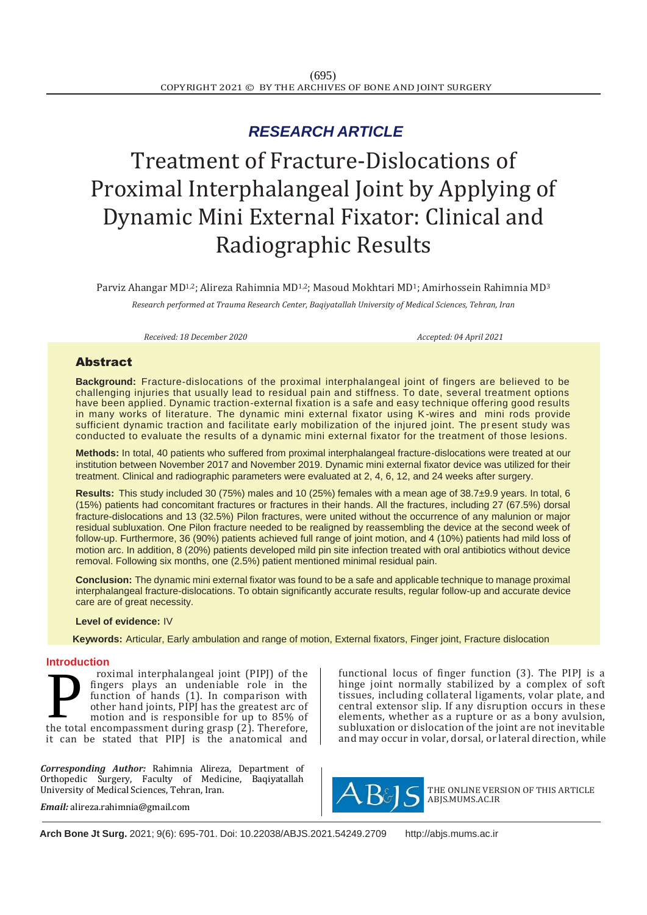# *RESEARCH ARTICLE*

# Treatment of Fracture-Dislocations of Proximal Interphalangeal Joint by Applying of Dynamic Mini External Fixator: Clinical and Radiographic Results

Parviz Ahangar MD<sup>1,2</sup>; Alireza Rahimnia MD<sup>1,2</sup>; Masoud Mokhtari MD<sup>1</sup>; Amirhossein Rahimnia MD<sup>3</sup> *Research performed at Trauma Research Center, Baqiyatallah University of Medical Sciences, Tehran, Iran*

*Received: 18 December 2020 Accepted: 04 April 2021*

## Abstract

**Background:** Fracture-dislocations of the proximal interphalangeal joint of fingers are believed to be challenging injuries that usually lead to residual pain and stiffness. To date, several treatment options have been applied. Dynamic traction-external fixation is a safe and easy technique offering good results in many works of literature. The dynamic mini external fixator using K-wires and mini rods provide sufficient dynamic traction and facilitate early mobilization of the injured joint. The present study was conducted to evaluate the results of a dynamic mini external fixator for the treatment of those lesions.

**Methods:** In total, 40 patients who suffered from proximal interphalangeal fracture-dislocations were treated at our institution between November 2017 and November 2019. Dynamic mini external fixator device was utilized for their treatment. Clinical and radiographic parameters were evaluated at 2, 4, 6, 12, and 24 weeks after surgery.

**Results:** This study included 30 (75%) males and 10 (25%) females with a mean age of 38.7±9.9 years. In total, 6 (15%) patients had concomitant fractures or fractures in their hands. All the fractures, including 27 (67.5%) dorsal fracture-dislocations and 13 (32.5%) Pilon fractures, were united without the occurrence of any malunion or major residual subluxation. One Pilon fracture needed to be realigned by reassembling the device at the second week of follow-up. Furthermore, 36 (90%) patients achieved full range of joint motion, and 4 (10%) patients had mild loss of motion arc. In addition, 8 (20%) patients developed mild pin site infection treated with oral antibiotics without device removal. Following six months, one (2.5%) patient mentioned minimal residual pain.

**Conclusion:** The dynamic mini external fixator was found to be a safe and applicable technique to manage proximal interphalangeal fracture-dislocations. To obtain significantly accurate results, regular follow-up and accurate device care are of great necessity.

#### **Level of evidence:** IV

 **Keywords:** Articular, Early ambulation and range of motion, External fixators, Finger joint, Fracture dislocation

#### **Introduction**

roximal interphalangeal joint (PIPJ) of the fingers plays an undeniable role in the function of hands (1). In comparison with other hand joints, PIPJ has the greatest arc of motion and is responsible for up to 85% of The total interphalangeal joint (PIPJ) of the fingers plays an undeniable role in the function of hands (1). In comparison with other hand joints, PIPJ has the greatest arc of motion and is responsible for up to 85% of the it can be stated that PIPJ is the anatomical and

*Corresponding Author:* Rahimnia Alireza, Department of Orthopedic Surgery, Faculty of Medicine, Baqiyatallah University of Medical Sciences, Tehran, Iran.

*Email:* [alireza.rahimnia@gmail.com](mailto:alireza.rahimnia@gmail.com)

functional locus of finger function (3). The PIPJ is a hinge joint normally stabilized by a complex of soft tissues, including collateral ligaments, volar plate, and central extensor slip. If any disruption occurs in these elements, whether as a rupture or as a bony avulsion, subluxation or dislocation of the joint are not inevitable and may occur in volar, dorsal, or lateral direction, while



THE ONLINE VERSION OF THIS ARTICLE ABJS.MUMS.AC.IR

**Arch Bone Jt Surg.** 2021; 9(6): 695-701. Doi: [10.22038/ABJS.2021.54249.2709](https://dx.doi.org/10.22038/abjs.2021.54249.2709) [http://abjs.mums.ac.ir](http://abjs.mums.ac.ir/)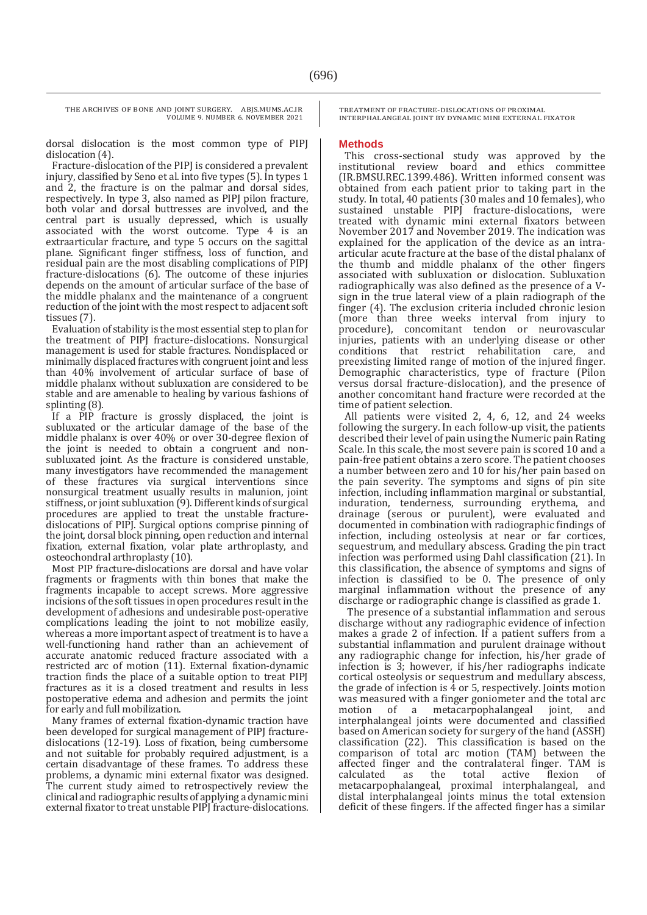dorsal dislocation is the most common type of PIPJ dislocation (4).

Fracture-dislocation of the PIPJ is considered a prevalent injury, classified by Seno et al. into five types (5). In types 1 and 2, the fracture is on the palmar and dorsal sides, respectively. In type 3, also named as PIPJ pilon fracture, both volar and dorsal buttresses are involved, and the central part is usually depressed, which is usually associated with the worst outcome. Type 4 is an extraarticular fracture, and type 5 occurs on the sagittal plane. Significant finger stiffness, loss of function, and residual pain are the most disabling complications of PIPJ fracture-dislocations (6). The outcome of these injuries depends on the amount of articular surface of the base of the middle phalanx and the maintenance of a congruent reduction of the joint with the most respect to adjacent soft tissues (7).

Evaluation of stability is the most essential step to plan for the treatment of PIPJ fracture-dislocations. Nonsurgical management is used for stable fractures. Nondisplaced or minimally displaced fractures with congruent joint and less than 40% involvement of articular surface of base of middle phalanx without subluxation are considered to be stable and are amenable to healing by various fashions of splinting (8).

If a PIP fracture is grossly displaced, the joint is subluxated or the articular damage of the base of the middle phalanx is over 40% or over 30-degree flexion of the joint is needed to obtain a congruent and nonsubluxated joint. As the fracture is considered unstable, many investigators have recommended the management of these fractures via surgical interventions since nonsurgical treatment usually results in malunion, joint stiffness, or joint subluxation (9). Different kinds of surgical procedures are applied to treat the unstable fracturedislocations of PIPJ. Surgical options comprise pinning of the joint, dorsal block pinning, open reduction and internal fixation, external fixation, volar plate arthroplasty, and osteochondral arthroplasty (10).

Most PIP fracture-dislocations are dorsal and have volar fragments or fragments with thin bones that make the fragments incapable to accept screws. More aggressive incisions of the soft tissues in open procedures result in the development of adhesions and undesirable post-operative complications leading the joint to not mobilize easily, whereas a more important aspect of treatment is to have a well-functioning hand rather than an achievement of accurate anatomic reduced fracture associated with a restricted arc of motion (11). External fixation-dynamic traction finds the place of a suitable option to treat PIPJ fractures as it is a closed treatment and results in less postoperative edema and adhesion and permits the joint for early and full mobilization.

Many frames of external fixation-dynamic traction have been developed for surgical management of PIPJ fracturedislocations (12-19). Loss of fixation, being cumbersome and not suitable for probably required adjustment, is a certain disadvantage of these frames. To address these problems, a dynamic mini external fixator was designed. The current study aimed to retrospectively review the clinical and radiographic results of applying a dynamic mini external fixator to treat unstable PIPJ fracture-dislocations. TREATMENT OF FRACTURE-DISLOCATIONS OF PROXIMAL INTERPHALANGEAL JOINT BY DYNAMIC MINI EXTERNAL FIXATOR

#### **Methods**

This cross-sectional study was approved by the institutional review board and ethics committee (IR.BMSU.REC.1399.486). Written informed consent was obtained from each patient prior to taking part in the study. In total, 40 patients (30 males and 10 females), who sustained unstable PIPJ fracture-dislocations, were treated with dynamic mini external fixators between November 2017 and November 2019. The indication was explained for the application of the device as an intraarticular acute fracture at the base of the distal phalanx of the thumb and middle phalanx of the other fingers associated with subluxation or dislocation. Subluxation radiographically was also defined as the presence of a Vsign in the true lateral view of a plain radiograph of the finger (4). The exclusion criteria included chronic lesion (more than three weeks interval from injury to procedure), concomitant tendon or neurovascular injuries, patients with an underlying disease or other conditions that restrict rehabilitation care, preexisting limited range of motion of the injured finger. Demographic characteristics, type of fracture (Pilon versus dorsal fracture-dislocation), and the presence of another concomitant hand fracture were recorded at the time of patient selection.

All patients were visited 2, 4, 6, 12, and 24 weeks following the surgery. In each follow-up visit, the patients described their level of pain using the Numeric pain Rating Scale. In this scale, the most severe pain is scored 10 and a pain-free patient obtains a zero score. The patient chooses a number between zero and 10 for his/her pain based on the pain severity. The symptoms and signs of pin site infection, including inflammation marginal or substantial, induration, tenderness, surrounding erythema, and drainage (serous or purulent), were evaluated and documented in combination with radiographic findings of infection, including osteolysis at near or far cortices, sequestrum, and medullary abscess. Grading the pin tract infection was performed using Dahl classification (21). In this classification, the absence of symptoms and signs of infection is classified to be 0. The presence of only marginal inflammation without the presence of any discharge or radiographic change is classified as grade 1.

The presence of a substantial inflammation and serous discharge without any radiographic evidence of infection makes a grade 2 of infection. If a patient suffers from a substantial inflammation and purulent drainage without any radiographic change for infection, his/her grade of infection is 3; however, if his/her radiographs indicate cortical osteolysis or sequestrum and medullary abscess, the grade of infection is 4 or 5, respectively. Joints motion was measured with a finger goniometer and the total arc motion of a metacarpophalangeal joint, and interphalangeal joints were documented and classified based on American society for surgery of the hand (ASSH) classification (22). This classification is based on the comparison of total arc motion (TAM) between the affected finger and the contralateral finger. TAM is calculated as the total active flexion of metacarpophalangeal, proximal interphalangeal, and distal interphalangeal joints minus the total extension deficit of these fingers. If the affected finger has a similar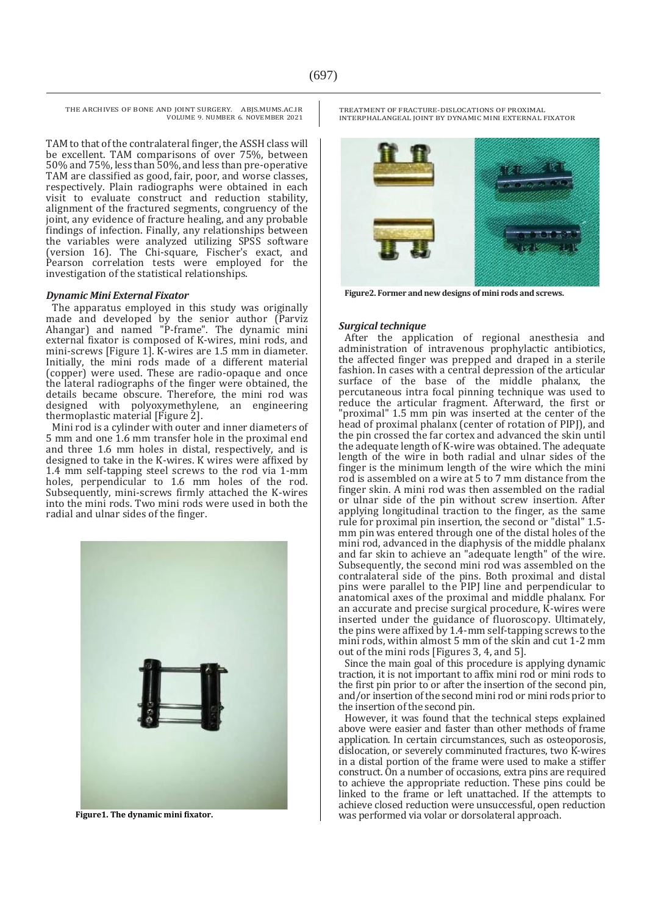TAM to that of the contralateral finger, the ASSH class will be excellent. TAM comparisons of over 75%, between 50% and 75%, less than 50%, and less than pre-operative TAM are classified as good, fair, poor, and worse classes, respectively. Plain radiographs were obtained in each visit to evaluate construct and reduction stability, alignment of the fractured segments, congruency of the joint, any evidence of fracture healing, and any probable findings of infection. Finally, any relationships between the variables were analyzed utilizing SPSS software (version 16). The Chi-square, Fischer's exact, and Pearson correlation tests were employed for the investigation of the statistical relationships.

#### *Dynamic Mini External Fixator*

The apparatus employed in this study was originally made and developed by the senior author (Parviz Ahangar) and named "P-frame". The dynamic mini external fixator is composed of K-wires, mini rods, and mini-screws [Figure 1]. K-wires are 1.5 mm in diameter. Initially, the mini rods made of a different material (copper) were used. These are radio-opaque and once the lateral radiographs of the finger were obtained, the details became obscure. Therefore, the mini rod was designed with polyoxymethylene, an engineering thermoplastic material [Figure 2].

Mini rod is a cylinder with outer and inner diameters of 5 mm and one 1.6 mm transfer hole in the proximal end and three 1.6 mm holes in distal, respectively, and is designed to take in the K-wires. K wires were affixed by 1.4 mm self-tapping steel screws to the rod via 1-mm holes, perpendicular to 1.6 mm holes of the rod. Subsequently, mini-screws firmly attached the K-wires into the mini rods. Two mini rods were used in both the radial and ulnar sides of the finger.



 **Figure1. The dynamic mini fixator.**

TREATMENT OF FRACTURE-DISLOCATIONS OF PROXIMAL INTERPHALANGEAL JOINT BY DYNAMIC MINI EXTERNAL FIXATOR



**Figure2. Former and new designs of mini rods and screws.**

#### *Surgical technique*

After the application of regional anesthesia and administration of intravenous prophylactic antibiotics, the affected finger was prepped and draped in a sterile fashion. In cases with a central depression of the articular surface of the base of the middle phalanx, the percutaneous intra focal pinning technique was used to reduce the articular fragment. Afterward, the first or "proximal" 1.5 mm pin was inserted at the center of the head of proximal phalanx (center of rotation of PIPJ), and the pin crossed the far cortex and advanced the skin until the adequate length of K-wire was obtained. The adequate length of the wire in both radial and ulnar sides of the finger is the minimum length of the wire which the mini rod is assembled on a wire at 5 to 7 mm distance from the finger skin. A mini rod was then assembled on the radial or ulnar side of the pin without screw insertion. After applying longitudinal traction to the finger, as the same rule for proximal pin insertion, the second or "distal" 1.5 mm pin was entered through one of the distal holes of the mini rod, advanced in the diaphysis of the middle phalanx and far skin to achieve an "adequate length" of the wire. Subsequently, the second mini rod was assembled on the contralateral side of the pins. Both proximal and distal pins were parallel to the PIPJ line and perpendicular to anatomical axes of the proximal and middle phalanx. For an accurate and precise surgical procedure, K-wires were inserted under the guidance of fluoroscopy. Ultimately, the pins were affixed by 1.4-mm self-tapping screws to the mini rods, within almost 5 mm of the skin and cut 1-2 mm out of the mini rods [Figures 3, 4, and 5].

Since the main goal of this procedure is applying dynamic traction, it is not important to affix mini rod or mini rods to the first pin prior to or after the insertion of the second pin, and/or insertion of the second mini rod or mini rods prior to the insertion of the second pin.

However, it was found that the technical steps explained above were easier and faster than other methods of frame application. In certain circumstances, such as osteoporosis, dislocation, or severely comminuted fractures, two K-wires in a distal portion of the frame were used to make a stiffer construct. On a number of occasions, extra pins are required to achieve the appropriate reduction. These pins could be linked to the frame or left unattached. If the attempts to achieve closed reduction were unsuccessful, open reduction was performed via volar or dorsolateral approach.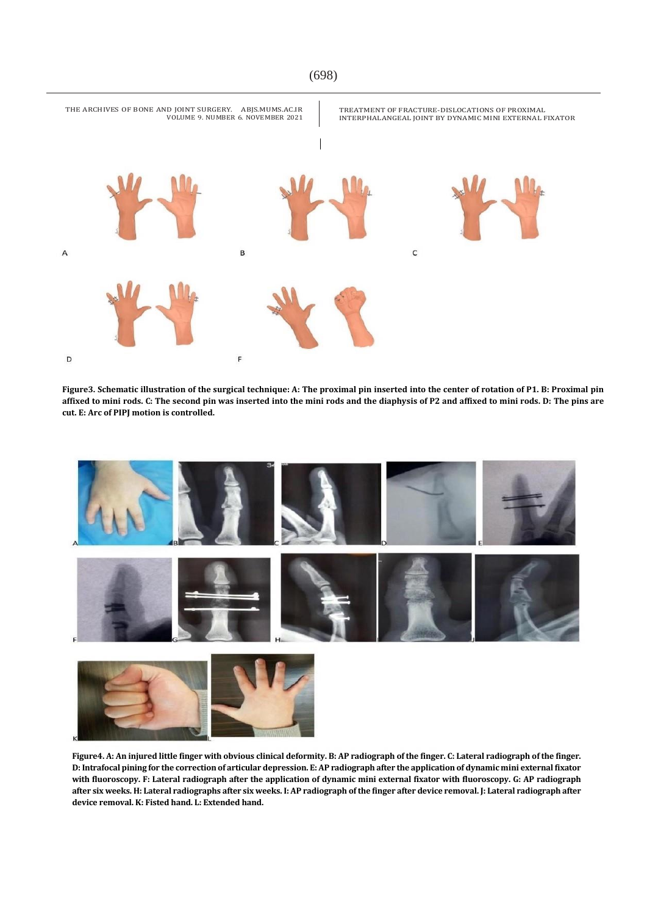

**Figure3. Schematic illustration of the surgical technique: A: The proximal pin inserted into the center of rotation of P1. B: Proximal pin affixed to mini rods. C: The second pin was inserted into the mini rods and the diaphysis of P2 and affixed to mini rods. D: The pins are cut. E: Arc of PIPJ motion is controlled.**





**Figure4. A: An injured little finger with obvious clinical deformity. B: AP radiograph of the finger. C: Lateral radiograph of the finger. D: Intrafocal pining for the correction of articular depression. E: AP radiograph after the application of dynamic mini external fixator with fluoroscopy. F: Lateral radiograph after the application of dynamic mini external fixator with fluoroscopy. G: AP radiograph after six weeks. H: Lateral radiographs after six weeks. I: AP radiograph of the finger after device removal. J: Lateral radiograph after device removal. K: Fisted hand. L: Extended hand.**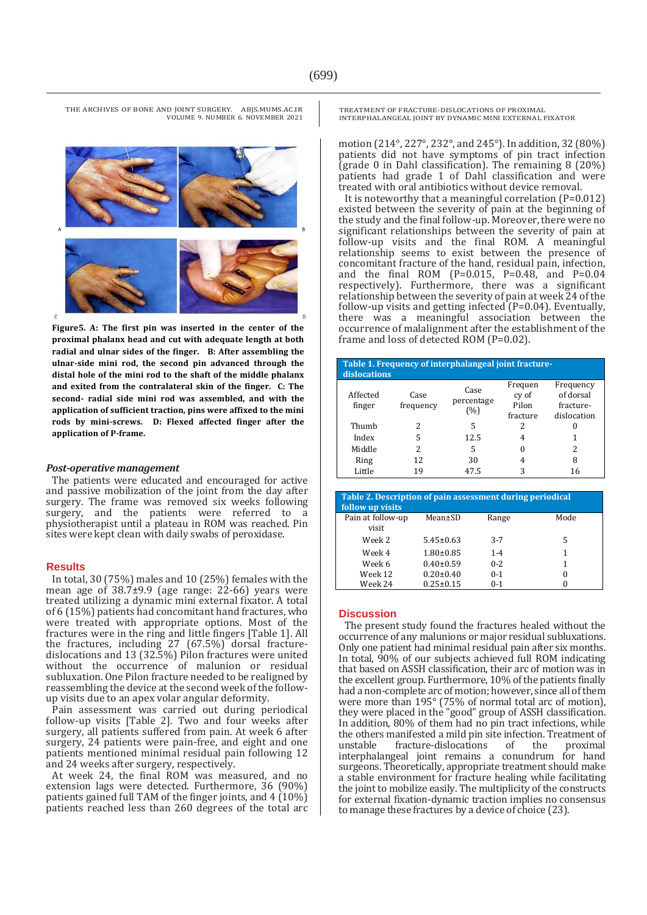**Figure5. A: The first pin was inserted in the center of the proximal phalanx head and cut with adequate length at both radial and ulnar sides of the finger. B: After assembling the ulnar-side mini rod, the second pin advanced through the distal hole of the mini rod to the shaft of the middle phalanx and exited from the contralateral skin of the finger. C: The second- radial side mini rod was assembled, and with the application of sufficient traction, pins were affixed to the mini rods by mini-screws. D: Flexed affected finger after the application of P-frame.**

#### *Post-operative management*

The patients were educated and encouraged for active and passive mobilization of the joint from the day after surgery. The frame was removed six weeks following surgery, and the patients were referred to a physiotherapist until a plateau in ROM was reached. Pin sites were kept clean with daily swabs of peroxidase.

#### **Results**

In total, 30 (75%) males and 10 (25%) females with the mean age of  $38.7\pm9.9$  (age range: 22-66) years were treated utilizing a dynamic mini external fixator. A total of 6 (15%) patients had concomitant hand fractures, who were treated with appropriate options. Most of the fractures were in the ring and little fingers [Table 1]. All the fractures, including 27 (67.5%) dorsal fracturedislocations and 13 (32.5%) Pilon fractures were united without the occurrence of malunion or residual subluxation. One Pilon fracture needed to be realigned by reassembling the device at the second week of the followup visits due to an apex volar angular deformity.

Pain assessment was carried out during periodical follow-up visits [Table 2]. Two and four weeks after surgery, all patients suffered from pain. At week 6 after surgery, 24 patients were pain-free, and eight and one patients mentioned minimal residual pain following 12 and 24 weeks after surgery, respectively.

At week 24, the final ROM was measured, and no extension lags were detected. Furthermore, 36 (90%) patients gained full TAM of the finger joints, and 4 (10%) patients reached less than 260 degrees of the total arc

TREATMENT OF FRACTURE-DISLOCATIONS OF PROXIMAL INTERPHALANGEAL JOINT BY DYNAMIC MINI EXTERNAL FIXATOR

motion (214°, 227°, 232°, and 245°). In addition, 32 (80%) patients did not have symptoms of pin tract infection (grade 0 in Dahl classification). The remaining 8 (20%) patients had grade 1 of Dahl classification and were treated with oral antibiotics without device removal.

It is noteworthy that a meaningful correlation (P=0.012) existed between the severity of pain at the beginning of the study and the final follow-up. Moreover, there were no significant relationships between the severity of pain at follow-up visits and the final ROM. A meaningful relationship seems to exist between the presence of concomitant fracture of the hand, residual pain, infection, and the final ROM (P=0.015, P=0.48, and P=0.04 respectively). Furthermore, there was a significant relationship between the severity of pain at week 24 of the follow-up visits and getting infected (P=0.04). Eventually, there was a meaningful association between the occurrence of malalignment after the establishment of the frame and loss of detected ROM (P=0.02).

| Table 1. Frequency of interphalangeal joint fracture-<br>dislocations |                   |                           |                                       |                                                    |  |  |
|-----------------------------------------------------------------------|-------------------|---------------------------|---------------------------------------|----------------------------------------------------|--|--|
| Affected<br>finger                                                    | Case<br>frequency | Case<br>percentage<br>(%) | Frequen<br>cy of<br>Pilon<br>fracture | Frequency<br>of dorsal<br>fracture-<br>dislocation |  |  |
| Thumb                                                                 | 2                 | 5                         | 2                                     |                                                    |  |  |
| Index                                                                 | 5                 | 12.5                      | 4                                     | 1                                                  |  |  |
| Middle                                                                | 2                 | 5                         | 0                                     | 2                                                  |  |  |
| Ring                                                                  | 12                | 30                        | 4                                     | 8                                                  |  |  |
| Little                                                                | 19                | 47.5                      | 3                                     | 16                                                 |  |  |

| Table 2. Description of pain assessment during periodical<br>follow up visits |                 |         |      |  |  |
|-------------------------------------------------------------------------------|-----------------|---------|------|--|--|
| Pain at follow-up                                                             | Mean±SD         | Range   | Mode |  |  |
| visit                                                                         |                 |         |      |  |  |
| Week 2                                                                        | $5.45 \pm 0.63$ | $3 - 7$ | 5    |  |  |
| Week 4                                                                        | $1.80 \pm 0.85$ | $1 - 4$ | 1    |  |  |
| Week 6                                                                        | $0.40 \pm 0.59$ | $0 - 2$ | 1    |  |  |
| Week 12                                                                       | $0.20 \pm 0.40$ | $0 - 1$ | 0    |  |  |
| Week 24                                                                       | $0.25 \pm 0.15$ | $0-1$   |      |  |  |

#### **Discussion**

The present study found the fractures healed without the occurrence of any malunions or major residual subluxations. Only one patient had minimal residual pain after six months. In total, 90% of our subjects achieved full ROM indicating that based on ASSH classification, their arc of motion was in the excellent group. Furthermore, 10% of the patients finally had a non-complete arc of motion; however, since all of them were more than 195° (75% of normal total arc of motion), they were placed in the "good" group of ASSH classification. In addition, 80% of them had no pin tract infections, while the others manifested a mild pin site infection. Treatment of<br>unstable fracture-dislocations of the proximal unstable fracture-dislocations of the interphalangeal joint remains a conundrum for hand surgeons. Theoretically, appropriate treatment should make a stable environment for fracture healing while facilitating the joint to mobilize easily. The multiplicity of the constructs for external fixation-dynamic traction implies no consensus to manage these fractures by a device of choice (23).



THE ARCHIVES OF BONE AND JOINT SURGERY. ABJS.MUMS.AC.IR VOLUME 9. NUMBER 6. NOVEMBER 2021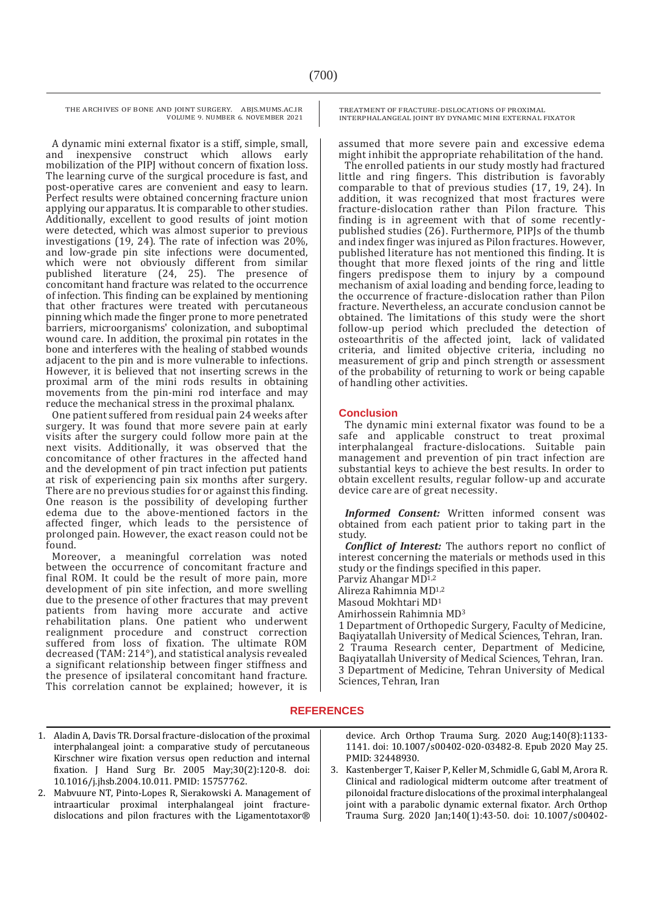A dynamic mini external fixator is a stiff, simple, small, and inexpensive construct which allows early mobilization of the PIPJ without concern of fixation loss. The learning curve of the surgical procedure is fast, and post-operative cares are convenient and easy to learn. Perfect results were obtained concerning fracture union applying our apparatus. It is comparable to other studies. Additionally, excellent to good results of joint motion were detected, which was almost superior to previous investigations (19, 24). The rate of infection was 20%, and low-grade pin site infections were documented, which were not obviously different from similar published literature (24, 25). The presence of concomitant hand fracture was related to the occurrence of infection. This finding can be explained by mentioning that other fractures were treated with percutaneous pinning which made the finger prone to more penetrated barriers, microorganisms' colonization, and suboptimal wound care. In addition, the proximal pin rotates in the bone and interferes with the healing of stabbed wounds adjacent to the pin and is more vulnerable to infections. However, it is believed that not inserting screws in the proximal arm of the mini rods results in obtaining movements from the pin-mini rod interface and may reduce the mechanical stress in the proximal phalanx.

One patient suffered from residual pain 24 weeks after surgery. It was found that more severe pain at early visits after the surgery could follow more pain at the next visits. Additionally, it was observed that the concomitance of other fractures in the affected hand and the development of pin tract infection put patients at risk of experiencing pain six months after surgery. There are no previous studies for or against this finding. One reason is the possibility of developing further edema due to the above-mentioned factors in the affected finger, which leads to the persistence of prolonged pain. However, the exact reason could not be found.

Moreover, a meaningful correlation was noted between the occurrence of concomitant fracture and final ROM. It could be the result of more pain, more development of pin site infection, and more swelling due to the presence of other fractures that may prevent patients from having more accurate and active rehabilitation plans. One patient who underwent realignment procedure and construct correction suffered from loss of fixation. The ultimate ROM decreased (TAM: 214°), and statistical analysis revealed a significant relationship between finger stiffness and the presence of ipsilateral concomitant hand fracture. This correlation cannot be explained; however, it is

TREATMENT OF FRACTURE-DISLOCATIONS OF PROXIMAL INTERPHALANGEAL JOINT BY DYNAMIC MINI EXTERNAL FIXATOR

assumed that more severe pain and excessive edema might inhibit the appropriate rehabilitation of the hand.

The enrolled patients in our study mostly had fractured little and ring fingers. This distribution is favorably comparable to that of previous studies (17, 19, 24). In addition, it was recognized that most fractures were fracture-dislocation rather than Pilon fracture. This finding is in agreement with that of some recentlypublished studies (26). Furthermore, PIPJs of the thumb and index finger was injured as Pilon fractures. However, published literature has not mentioned this finding. It is thought that more flexed joints of the ring and little fingers predispose them to injury by a compound mechanism of axial loading and bending force, leading to the occurrence of fracture-dislocation rather than Pilon fracture. Nevertheless, an accurate conclusion cannot be obtained. The limitations of this study were the short follow-up period which precluded the detection of osteoarthritis of the affected joint, lack of validated criteria, and limited objective criteria, including no measurement of grip and pinch strength or assessment of the probability of returning to work or being capable of handling other activities.

#### **Conclusion**

The dynamic mini external fixator was found to be a safe and applicable construct to treat proximal interphalangeal fracture-dislocations. Suitable pain management and prevention of pin tract infection are substantial keys to achieve the best results. In order to obtain excellent results, regular follow-up and accurate device care are of great necessity.

*Informed Consent:* Written informed consent was obtained from each patient prior to taking part in the study.

*Conflict of Interest:* The authors report no conflict of interest concerning the materials or methods used in this study or the findings specified in this paper.

Parviz Ahangar MD1,2

Alireza Rahimnia MD1,2

Masoud Mokhtari MD<sup>1</sup>

Amirhossein Rahimnia MD<sup>3</sup>

1 Department of Orthopedic Surgery, Faculty of Medicine, Baqiyatallah University of Medical Sciences, Tehran, Iran. 2 Trauma Research center, Department of Medicine, Baqiyatallah University of Medical Sciences, Tehran, Iran. 3 Department of Medicine, Tehran University of Medical Sciences, Tehran, Iran

### **REFERENCES**

- 1. Aladin A, Davis TR. Dorsal fracture-dislocation of the proximal interphalangeal joint: a comparative study of percutaneous Kirschner wire fixation versus open reduction and internal fixation. J Hand Surg Br. 2005 May;30(2):120-8. doi: 10.1016/j.jhsb.2004.10.011. PMID: 15757762.
- 2. Mabvuure NT, Pinto-Lopes R, Sierakowski A. Management of intraarticular proximal interphalangeal joint fracturedislocations and pilon fractures with the Ligamentotaxor®

device. Arch Orthop Trauma Surg. 2020 Aug;140(8):1133- 1141. doi: 10.1007/s00402-020-03482-8. Epub 2020 May 25. PMID: 32448930.

3. Kastenberger T, Kaiser P, Keller M, Schmidle G, Gabl M, Arora R. Clinical and radiological midterm outcome after treatment of pilonoidal fracture dislocations of the proximal interphalangeal joint with a parabolic dynamic external fixator. Arch Orthop Trauma Surg. 2020 Jan;140(1):43-50. doi: 10.1007/s00402-